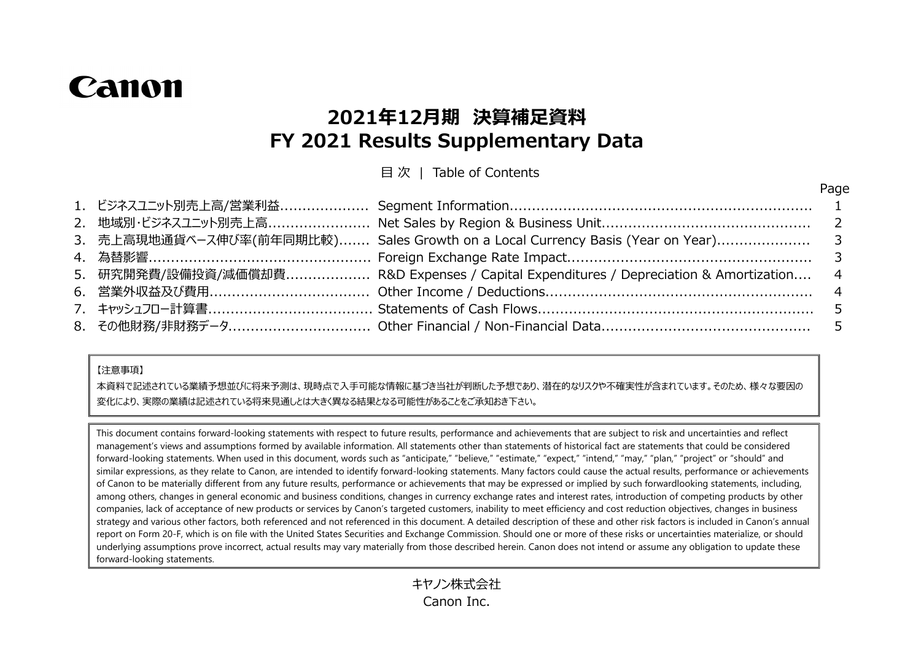# Canon

## **2021年12月期 決算補足資料 FY 2021 Results Supplementary Data**

目 次 | Table of Contents

Page

|  |                                                                                         | . |
|--|-----------------------------------------------------------------------------------------|---|
|  |                                                                                         |   |
|  |                                                                                         |   |
|  | 3. 売上高現地通貨ベース伸び率(前年同期比較) Sales Growth on a Local Currency Basis (Year on Year) 3        |   |
|  |                                                                                         |   |
|  | 5. 研究開発費/設備投資/減価償却費 R&D Expenses / Capital Expenditures / Depreciation & Amortization 4 |   |
|  |                                                                                         |   |
|  |                                                                                         |   |
|  |                                                                                         |   |
|  |                                                                                         |   |

#### 【注意事項】

本資料で記述されている業績予想並びに将来予測は、現時点で入手可能な情報に基づき当社が判断した予想であり、潜在的なリスクや不確実性が含まれています。そのため、様々な要因の 変化により、実際の業績は記述されている将来見通しとは大きく異なる結果となる可能性があることをご承知おき下さい。

This document contains forward-looking statements with respect to future results, performance and achievements that are subject to risk and uncertainties and reflect management's views and assumptions formed by available information. All statements other than statements of historical fact are statements that could be considered forward-looking statements. When used in this document, words such as "anticipate," "believe," "estimate," "expect," "intend," "may," "plan," "project" or "should" and similar expressions, as they relate to Canon, are intended to identify forward-looking statements. Many factors could cause the actual results, performance or achievements of Canon to be materially different from any future results, performance or achievements that may be expressed or implied by such forwardlooking statements, including, among others, changes in general economic and business conditions, changes in currency exchange rates and interest rates, introduction of competing products by other companies, lack of acceptance of new products or services by Canon's targeted customers, inability to meet efficiency and cost reduction objectives, changes in business strategy and various other factors, both referenced and not referenced in this document. A detailed description of these and other risk factors is included in Canon's annual report on Form 20-F, which is on file with the United States Securities and Exchange Commission. Should one or more of these risks or uncertainties materialize, or should underlying assumptions prove incorrect, actual results may vary materially from those described herein. Canon does not intend or assume any obligation to update these forward-looking statements.

> キヤノン株式会社 Canon Inc.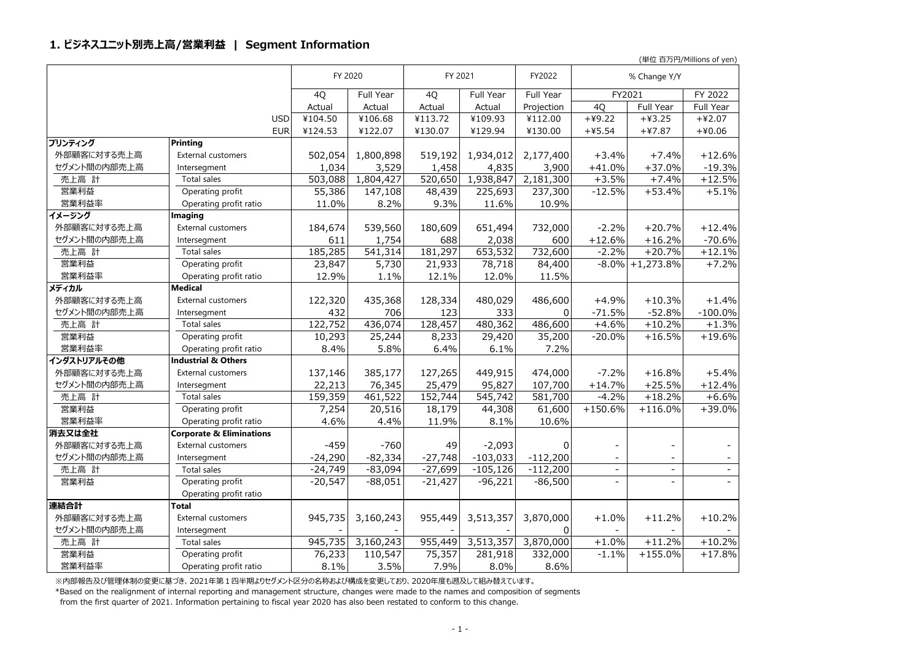#### **1. ビジネスユニット別売上高/営業利益 | Segment Information**

(単位 百万円/Millions of yen)

|              |                                     | FY 2020   |                       | FY 2021   |                      | FY2022     |                | % Change Y/Y       |                |
|--------------|-------------------------------------|-----------|-----------------------|-----------|----------------------|------------|----------------|--------------------|----------------|
|              |                                     | 4Q        | Full Year             | 4Q        | Full Year            | Full Year  | FY2021         |                    | FY 2022        |
|              |                                     | Actual    | Actual                | Actual    | Actual               | Projection | 4Q             | Full Year          | Full Year      |
|              | <b>USD</b>                          | ¥104.50   | ¥106.68               | ¥113.72   | ¥109.93              | ¥112.00    | $+49.22$       | $+43.25$           | $+42.07$       |
|              | <b>EUR</b>                          | ¥124.53   | ¥122.07               | ¥130.07   | ¥129.94              | ¥130.00    | $+45.54$       | $+47.87$           | $+40.06$       |
| プリンティング      | <b>Printing</b>                     |           |                       |           |                      |            |                |                    |                |
| 外部顧客に対する売上高  | External customers                  | 502,054   | 1,800,898             | 519,192   | 1,934,012            | 2,177,400  | $+3.4%$        | $+7.4%$            | $+12.6%$       |
| セグメント間の内部売上高 | Intersegment                        | 1,034     | 3,529                 | 1,458     | 4,835                | 3,900      | $+41.0%$       | $+37.0%$           | $-19.3%$       |
| 売上高 計        | Total sales                         | 503,088   | 1,804,427             | 520,650   | 1,938,847            | 2,181,300  | $+3.5%$        | $+7.4%$            | $+12.5%$       |
| 営業利益         | Operating profit                    | 55,386    | 147,108               | 48,439    | 225,693              | 237,300    | $-12.5%$       | $+53.4%$           | $+5.1%$        |
| 営業利益率        | Operating profit ratio              | 11.0%     | 8.2%                  | 9.3%      | 11.6%                | 10.9%      |                |                    |                |
| イメージング       | Imaging                             |           |                       |           |                      |            |                |                    |                |
| 外部顧客に対する売上高  | External customers                  | 184,674   | 539,560               | 180,609   | 651,494              | 732,000    | $-2.2%$        | $+20.7%$           | $+12.4%$       |
| セグメント間の内部売上高 | Intersegment                        | 611       | 1,754                 | 688       | 2,038                | 600        | $+12.6%$       | $+16.2%$           | $-70.6%$       |
| 売上高 計        | Total sales                         | 185,285   | $\overline{5}$ 41,314 | 181,297   | $\overline{653,}532$ | 732,600    | $-2.2%$        | $+20.7%$           | $+12.1%$       |
| 営業利益         | Operating profit                    | 23,847    | 5,730                 | 21,933    | 78,718               | 84,400     |                | $-8.0\%$ +1,273.8% | $+7.2%$        |
| 営業利益率        | Operating profit ratio              | 12.9%     | 1.1%                  | 12.1%     | 12.0%                | 11.5%      |                |                    |                |
| メディカル        | <b>Medical</b>                      |           |                       |           |                      |            |                |                    |                |
| 外部顧客に対する売上高  | <b>External customers</b>           | 122,320   | 435,368               | 128,334   | 480,029              | 486,600    | $+4.9%$        | $+10.3%$           | $+1.4%$        |
| セグメント間の内部売上高 | Intersegment                        | 432       | 706                   | 123       | 333                  | $\Omega$   | $-71.5%$       | $-52.8%$           | $-100.0\%$     |
| 売上高 計        | Total sales                         | 122,752   | 436,074               | 128,457   | 480,362              | 486,600    | $+4.6%$        | $+10.2%$           | $+1.3%$        |
| 営業利益         | Operating profit                    | 10,293    | 25,244                | 8,233     | 29,420               | 35,200     | $-20.0%$       | $+16.5%$           | $+19.6%$       |
| 営業利益率        | Operating profit ratio              | 8.4%      | 5.8%                  | 6.4%      | 6.1%                 | 7.2%       |                |                    |                |
| インダストリアルその他  | <b>Industrial &amp; Others</b>      |           |                       |           |                      |            |                |                    |                |
| 外部顧客に対する売上高  | <b>External customers</b>           | 137,146   | 385,177               | 127,265   | 449,915              | 474,000    | $-7.2%$        | $+16.8%$           | $+5.4%$        |
| セグメント間の内部売上高 | Intersegment                        | 22,213    | 76,345                | 25,479    | 95,827               | 107,700    | $+14.7%$       | $+25.5%$           | $+12.4%$       |
| 売上高 計        | Total sales                         | 159,359   | 461,522               | 152,744   | 545,742              | 581,700    | $-4.2%$        | $+18.2%$           | $+6.6%$        |
| 営業利益         | Operating profit                    | 7,254     | 20,516                | 18,179    | 44,308               | 61,600     | $+150.6%$      | $+116.0%$          | $+39.0%$       |
| 営業利益率        | Operating profit ratio              | 4.6%      | 4.4%                  | 11.9%     | 8.1%                 | 10.6%      |                |                    |                |
| 消去又は全社       | <b>Corporate &amp; Eliminations</b> |           |                       |           |                      |            |                |                    |                |
| 外部顧客に対する売上高  | <b>External customers</b>           | $-459$    | $-760$                | 49        | $-2,093$             | 0          |                |                    |                |
| セグメント間の内部売上高 | Intersegment                        | $-24,290$ | $-82,334$             | $-27,748$ | $-103,033$           | $-112,200$ |                |                    |                |
| 売上高 計        | Total sales                         | $-24,749$ | $-83,094$             | $-27,699$ | $-105, 126$          | $-112,200$ | $\overline{a}$ | $\equiv$           | $\blacksquare$ |
| 営業利益         | Operating profit                    | $-20,547$ | $-88,051$             | $-21,427$ | $-96,221$            | $-86,500$  | $\overline{a}$ | $\sim$             |                |
|              | Operating profit ratio              |           |                       |           |                      |            |                |                    |                |
| 連結合計         | Total                               |           |                       |           |                      |            |                |                    |                |
| 外部顧客に対する売上高  | <b>External customers</b>           | 945,735   | 3,160,243             | 955,449   | 3,513,357            | 3,870,000  | $+1.0%$        | $+11.2%$           | $+10.2%$       |
| セグメント間の内部売上高 | Intersegment                        |           |                       |           |                      | $\Omega$   |                | $\sim$             |                |
| 売上高 計        | Total sales                         | 945,735   | 3,160,243             | 955,449   | 3,513,357            | 3,870,000  | $+1.0\%$       | $+11.2%$           | $+10.2%$       |
| 営業利益         | Operating profit                    | 76,233    | 110,547               | 75,357    | 281,918              | 332,000    | $-1.1%$        | $+155.0%$          | $+17.8%$       |
| 営業利益率        | Operating profit ratio              | 8.1%      | 3.5%                  | 7.9%      | 8.0%                 | 8.6%       |                |                    |                |

※内部報告及び管理体制の変更に基づき、2021年第1四半期よりセグメント区分の名称および構成を変更しており、2020年度も遡及して組み替えています。

\*Based on the realignment of internal reporting and management structure, changes were made to the names and composition of segments

from the first quarter of 2021. Information pertaining to fiscal year 2020 has also been restated to conform to this change.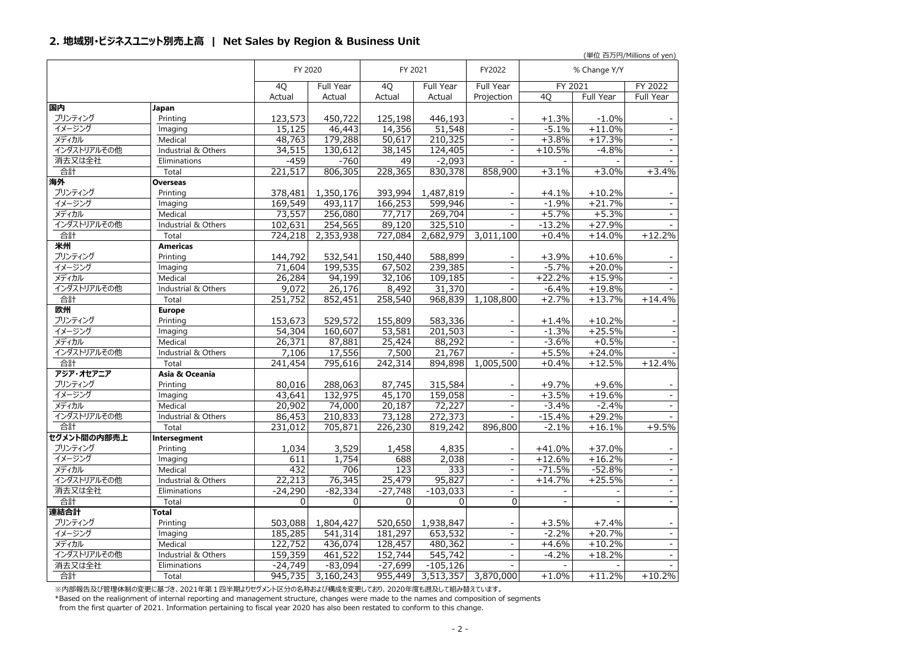#### **2. 地域別・ビジネスユニット別売上高 | Net Sales by Region & Business Unit**

|                       |                       |                     |                      |                     |                              |                                      |                          |                      | (単位 白万円/Millions of yen)         |
|-----------------------|-----------------------|---------------------|----------------------|---------------------|------------------------------|--------------------------------------|--------------------------|----------------------|----------------------------------|
|                       |                       |                     | FY 2020              | FY 2021             |                              | FY2022                               |                          | % Change Y/Y         |                                  |
|                       |                       | 4Q                  | Full Year            | 4Q                  | Full Year                    | <b>Full Year</b>                     | FY 2021                  |                      | FY 2022                          |
|                       |                       | Actual              | Actual               | Actual              | Actual                       | Projection                           | 4Q                       | Full Year            | Full Year                        |
| 国内                    | Japan                 |                     |                      |                     |                              |                                      |                          |                      |                                  |
| プリンティング               | Printing              | 123,573             | 450,722              | 125,198             | 446,193                      |                                      | $+1.3%$                  | $-1.0%$              |                                  |
| イメージング                | Imaging               | 15,125              | 46,443               | 14,356              | 51,548                       | $\overline{\phantom{a}}$             | $-5.1%$                  | $+11.0%$             | $\sim$                           |
| メディカル                 | Medical               | 48,763              | 179,288              | 50,617              | 210,325                      | $\overline{\phantom{a}}$             | $+3.8%$                  | $+17.3%$             | $\overline{\phantom{a}}$         |
| インダストリアルその他           | Industrial & Others   | 34,515              | 130,612              | 38,145              | 124,405                      | $\overline{\phantom{a}}$             | $+10.5%$                 | $-4.8%$              | $\sim$                           |
| 消去又は全社                | Eliminations          | $-459$              | $-760$               | 49                  | $-2,093$                     | $\mathbf{r}$                         |                          |                      | $\sim$                           |
| 合計                    | Total                 | 221,517             | 806,305              | 228,365             | 830,378                      | 858,900                              | $+3.1%$                  | $+3.0%$              | $+3.4%$                          |
| 海外                    | <b>Overseas</b>       |                     |                      |                     |                              |                                      |                          |                      |                                  |
| プリンティング               | Printing              | 378,481             | 1,350,176            | 393,994             | 1,487,819                    |                                      | $+4.1%$                  | $+10.2%$             |                                  |
| イメージング                | Imaging               | 169,549             | 493,117              | 166,253             | 599,946                      | $\bar{\phantom{a}}$                  | $-1.9%$                  | $+21.7%$             | $\sim$                           |
| メディカル                 | Medical               | 73,557              | 256,080              | 77,717              | 269,704                      |                                      | $+5.7%$                  | $+5.3%$              | $\sim$                           |
| インダストリアルその他           | Industrial & Others   | 102,631             | 254,565              | 89,120              | 325,510                      | $\blacksquare$                       | $-13.2%$                 | $+27.9%$             |                                  |
| 合計                    | Total                 | 724,218             | 2,353,938            | 727,084             | 2,682,979                    | 3,011,100                            | $+0.4%$                  | $+14.0%$             | $+12.2%$                         |
| 米州                    | <b>Americas</b>       |                     |                      |                     |                              |                                      |                          |                      |                                  |
| プリンティング               | Printing              | 144,792             | 532,541              | 150,440             | 588,899                      |                                      | $+3.9%$                  | $+10.6%$             |                                  |
| イメージング                | Imaging               | 71,604              | 199,535              | 67,502              | 239,385                      | $\equiv$                             | $-5.7%$                  | $+20.0%$             | $\mathbb{L}^+$                   |
| メディカル                 | Medical               | 26,284              | 94,199               | 32,106              | 109,185                      | $\mathbf{r}$                         | $+22.2%$                 | $+15.9%$             |                                  |
| インダストリアルその他           | Industrial & Others   | 9,072               | 26,176               | 8,492               | 31,370                       | $\sim$                               | $-6.4%$                  | $+19.8%$             |                                  |
| 合計                    | Total                 | 251,752             | 852,451              | 258,540             | 968,839                      | 1,108,800                            | $+2.7%$                  | $+13.7%$             | $+14.4%$                         |
| 欧州                    | <b>Europe</b>         |                     |                      |                     |                              |                                      |                          |                      |                                  |
| プリンティング               | Printing              | 153,673             | 529,572              | 155,809             | 583,336                      |                                      | $+1.4%$                  | $+10.2%$             |                                  |
| イメージング                | Imaging               | 54,304              | 160,607              | 53,581              | 201,503                      | $\blacksquare$                       | $-1.3%$                  | $+25.5%$             |                                  |
| メディカル                 | Medical               | 26,371              | 87,881               | 25,424              | 88,292                       |                                      | $-3.6%$                  | $+0.5%$              |                                  |
| インダストリアルその他           | Industrial & Others   | 7,106               | 17,556               | 7,500               | 21,767                       | $\overline{\phantom{a}}$             | $+5.5%$                  | $+24.0%$             |                                  |
| 合計                    | Total                 | 241,454             | 795,616              | 242,314             | 894,898                      | 1,005,500                            | $+0.4%$                  | $+12.5%$             | $+12.4%$                         |
| アジア・オセアニア             | Asia & Oceania        |                     |                      |                     |                              |                                      |                          |                      |                                  |
| プリンティング               | Printing              | 80,016              | 288,063              | 87,745              | 315,584                      |                                      | $+9.7%$                  | $+9.6%$              |                                  |
| イメージング                | Imaging               | $\overline{43,641}$ | 132,975              | 45,170              | 159,058                      | $\overline{\phantom{a}}$             | $+3.5%$                  | $+19.6%$             | $\overline{\phantom{a}}$         |
| メディカル                 | Medical               | 20,902              | 74,000               | 20,187              | 72,227                       | $\overline{\phantom{a}}$             | $-3.4%$                  | $-2.4%$              | $\blacksquare$                   |
| インダストリアルその他           | Industrial & Others   | 86,453              | 210,833              | 73,128              | 272,373                      | $\blacksquare$                       | $-15.4%$                 | $+29.2%$             | $\sim$                           |
| 合計                    | Total                 | 231,012             | 705,871              | 226,230             | 819,242                      | 896,800                              | $-2.1%$                  | $+16.1%$             | $+9.5%$                          |
| セグメント間の内部売上           | Intersegment          |                     |                      |                     |                              |                                      |                          |                      |                                  |
| プリンティング               | Printing              | 1,034               | 3,529                | 1,458               | 4,835                        |                                      | $+41.0%$                 | $+37.0%$             |                                  |
| イメージング                | Imaging<br>Medical    | 611<br>432          | 1,754<br>706         | 688                 | 2,038<br>333                 | $\overline{\phantom{a}}$<br>$\equiv$ | $+12.6%$                 | $+16.2%$<br>$-52.8%$ | $\blacksquare$<br>$\omega$       |
| メディカル                 |                       |                     |                      | 123                 | 95,827                       | $\blacksquare$                       | $-71.5%$                 | $+25.5%$             |                                  |
| インダストリアルその他<br>消去又は全社 | Industrial & Others   | 22,213<br>$-24,290$ | 76,345<br>$-82,334$  | 25,479<br>$-27,748$ |                              | $\overline{\phantom{a}}$             | $+14.7%$                 |                      | $\blacksquare$<br>$\blacksquare$ |
| 合計                    | Eliminations          | 0                   |                      | 0                   | $-103,033$<br>$\overline{0}$ | $\overline{0}$                       | $\blacksquare$           |                      |                                  |
| 連結合計                  | Total<br><b>Total</b> |                     | 0                    |                     |                              |                                      |                          |                      | $\overline{a}$                   |
| プリンティング               |                       |                     |                      |                     |                              |                                      |                          |                      | $\overline{\phantom{a}}$         |
| イメージング                | Printing<br>Imaging   | 503,088<br>185,285  | 1,804,427<br>541,314 | 520,650<br>181,297  | 1,938,847<br>653,532         | $\overline{\phantom{a}}$             | $+3.5%$<br>$-2.2%$       | $+7.4%$<br>$+20.7%$  | $\blacksquare$                   |
| メディカル                 | Medical               | 122,752             | 436,074              | 128,457             | 480,362                      | $\mathbf{r}$                         | $+4.6%$                  | $+10.2%$             | $\overline{\phantom{a}}$         |
| インダストリアルその他           | Industrial & Others   | 159,359             | 461,522              | 152,744             | 545,742                      | $\equiv$                             | $-4.2%$                  | $+18.2%$             | $\omega$                         |
| 消去又は全社                | Eliminations          | $-24,749$           | $-83,094$            | $-27,699$           | $-105, 126$                  | $\equiv$                             | $\overline{\phantom{a}}$ |                      | $\blacksquare$                   |
| 合計                    | Total                 | 945,735             | 3,160,243            | 955,449             | 3,513,357                    | 3,870,000                            | $+1.0%$                  | $+11.2%$             | $+10.2%$                         |
|                       |                       |                     |                      |                     |                              |                                      |                          |                      |                                  |

※内部報告及び管理体制の変更に基づき、2021年第1四半期よりセグメント区分の名称および構成を変更しており、2020年度も遡及して組み替えています。

\*Based on the realignment of internal reporting and management structure, changes were made to the names and composition of segments

from the first quarter of 2021. Information pertaining to fiscal year 2020 has also been restated to conform to this change.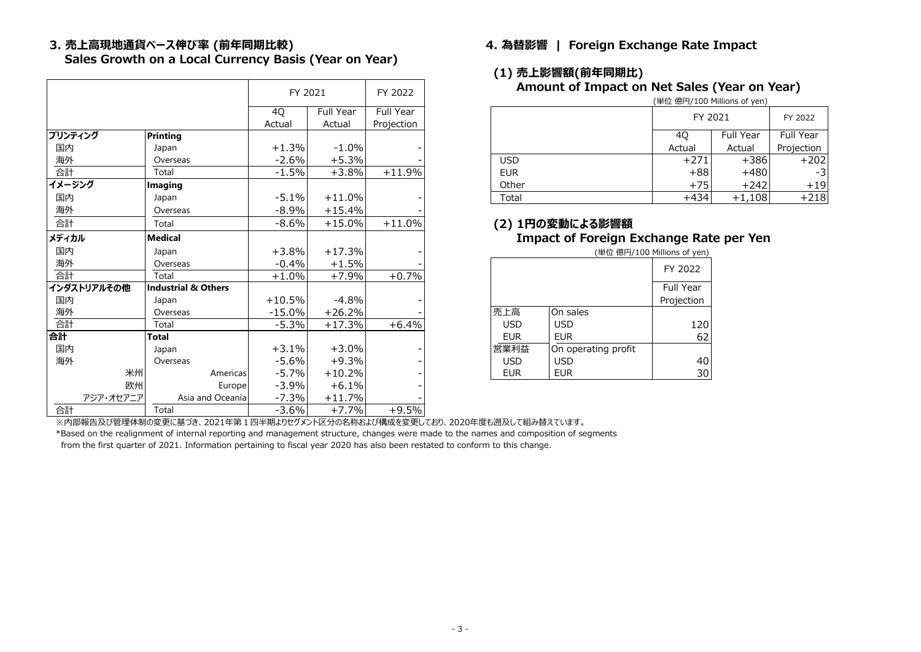**Sales Growth on a Local Currency Basis (Year on Year)**

|         |             |                                |                  | FY 2021  |           | FY 2022    |
|---------|-------------|--------------------------------|------------------|----------|-----------|------------|
|         |             |                                |                  |          |           |            |
|         |             |                                |                  | 4Q       | Full Year | Full Year  |
|         |             |                                |                  | Actual   | Actual    | Projection |
| プリンティング |             | <b>Printing</b>                |                  |          |           |            |
| 国内      |             | Japan                          |                  | +1.3%    | $-1.0\%$  |            |
| 海外      |             | Overseas                       |                  | $-2.6%$  | $+5.3%$   |            |
| 合計      |             | Total                          |                  | $-1.5%$  | $+3.8%$   | $+11.9%$   |
| イメージング  |             | Imaging                        |                  |          |           |            |
| 国内      |             | Japan                          |                  | $-5.1%$  | $+11.0%$  |            |
| 海外      |             | Overseas                       |                  | $-8.9%$  | $+15.4%$  |            |
| 合計      |             | Total                          |                  | $-8.6%$  | $+15.0%$  | $+11.0%$   |
| メディカル   |             | <b>Medical</b>                 |                  |          |           |            |
| 国内      |             | Japan                          |                  | $+3.8%$  | $+17.3%$  |            |
| 海外      |             | Overseas                       |                  | $-0.4%$  | $+1.5%$   |            |
| 合計      |             | Total                          |                  | $+1.0%$  | $+7.9%$   | $+0.7%$    |
|         | インダストリアルその他 | <b>Industrial &amp; Others</b> |                  |          |           |            |
| 国内      |             | Japan                          |                  | $+10.5%$ | $-4.8%$   |            |
| 海外      |             | Overseas                       |                  | $-15.0%$ | $+26.2%$  |            |
| 合計      |             | Total                          |                  | $-5.3%$  | $+17.3%$  | $+6.4%$    |
| 合計      |             | Total                          |                  |          |           |            |
| 国内      |             | Japan                          |                  | $+3.1%$  | $+3.0%$   |            |
| 海外      |             | Overseas                       |                  | $-5.6%$  | $+9.3%$   |            |
|         | 米州          |                                | Americas         | $-5.7%$  | $+10.2%$  |            |
|         | 欧州          |                                | Europe           | $-3.9%$  | $+6.1%$   |            |
|         | アジア・オセアニア   |                                | Asia and Oceania | $-7.3%$  | $+11.7%$  |            |
| 合計      |             | Total                          |                  | $-3.6%$  | $+7.7%$   | $+9.5%$    |

### **3. 売上高現地通貨ベース伸び率 (前年同期比較) 4. 為替影響 | Foreign Exchange Rate Impact**

#### **(1) 売上影響額(前年同期比) Amount of Impact on Net Sales (Year on Year)**

|            | FY 2021 | FY 2022    |           |  |
|------------|---------|------------|-----------|--|
|            | 40      | Full Year  | Full Year |  |
|            | Actual  | Projection |           |  |
| <b>USD</b> | $+271$  | $+386$     | $+202$    |  |
| <b>EUR</b> | $+88$   | $+480$     |           |  |
| Other      | $+75$   | $+242$     | $+19$     |  |
| Total      | +434    | $+1,108$   | $+218$    |  |

#### 合計 Total -8.6% +15.0% +11.0% **(2) 1円の変動による影響額 Impact of Foreign Exchange Rate per Yen**

|            |                     | FY 2022    |
|------------|---------------------|------------|
|            |                     | Full Year  |
|            |                     | Projection |
| 売上高        | On sales            |            |
| <b>USD</b> | <b>USD</b>          | 120        |
| <b>EUR</b> | EUR                 | 62         |
| 営業利益       | On operating profit |            |
| <b>USD</b> | USD                 | 40         |
| <b>EUR</b> | EUR                 |            |

\*Based on the realignment of internal reporting and management structure, changes were made to the names and composition of segments from the first quarter of 2021. Information pertaining to fiscal year 2020 has also been restated to conform to this change. ※内部報告及び管理体制の変更に基づき、2021年第1四半期よりセグメント区分の名称および構成を変更しており、2020年度も遡及して組み替えています。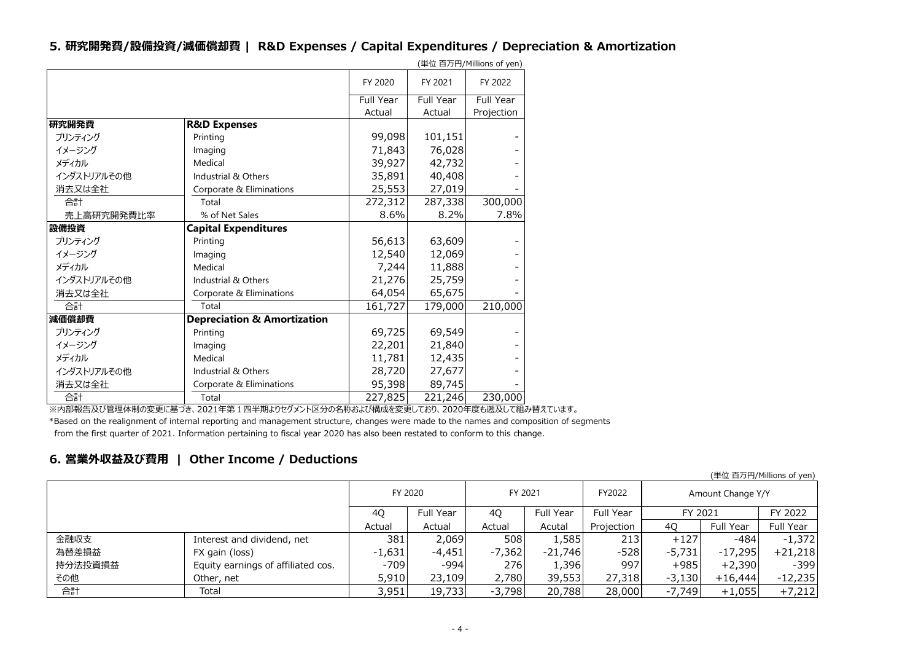#### **5. 研究開発費/設備投資/減価償却費 | R&D Expenses / Capital Expenditures / Depreciation & Amortization**

|             |                                        |           |           | (単位 百万円/Millions of yen) |
|-------------|----------------------------------------|-----------|-----------|--------------------------|
|             |                                        | FY 2020   | FY 2021   | FY 2022                  |
|             |                                        | Full Year | Full Year | Full Year                |
|             |                                        | Actual    | Actual    | Projection               |
| 研究開発費       | <b>R&amp;D Expenses</b>                |           |           |                          |
| プリンティング     | Printing                               | 99,098    | 101,151   |                          |
| イメージング      | Imaging                                | 71,843    | 76,028    |                          |
| メディカル       | Medical                                | 39,927    | 42,732    |                          |
| インダストリアルその他 | Industrial & Others                    | 35,891    | 40,408    |                          |
| 消去又は全社      | Corporate & Eliminations               | 25,553    | 27,019    |                          |
| 合計          | Total                                  | 272,312   | 287,338   | 300,000                  |
| 売上高研究開発費比率  | % of Net Sales                         | 8.6%      | 8.2%      | 7.8%                     |
| 設備投資        | <b>Capital Expenditures</b>            |           |           |                          |
| プリンティング     | Printing                               | 56,613    | 63,609    |                          |
| イメージング      | Imaging                                | 12,540    | 12,069    |                          |
| メディカル       | Medical                                | 7,244     | 11,888    |                          |
| インダストリアルその他 | Industrial & Others                    | 21,276    | 25,759    |                          |
| 消去又は全社      | Corporate & Eliminations               | 64,054    | 65,675    |                          |
| 合計          | Total                                  | 161,727   | 179,000   | 210,000                  |
| 減価償却費       | <b>Depreciation &amp; Amortization</b> |           |           |                          |
| プリンティング     | Printing                               | 69,725    | 69,549    |                          |
| イメージング      | Imaging                                | 22,201    | 21,840    |                          |
| メディカル       | Medical                                | 11,781    | 12,435    |                          |
| インダストリアルその他 | Industrial & Others                    | 28,720    | 27,677    |                          |
| 消去又は全社      | Corporate & Eliminations               | 95,398    | 89,745    |                          |
| 合計          | Total                                  | 227,825   | 221,246   | 230,000                  |

※内部報告及び管理体制の変更に基づき、2021年第1四半期よりセグメント区分の名称および構成を変更しており、2020年度も遡及して組み替えています。

\*Based on the realignment of internal reporting and management structure, changes were made to the names and composition of segments from the first quarter of 2021. Information pertaining to fiscal year 2020 has also been restated to conform to this change.

#### **6. 営業外収益及び費用 | Other Income / Deductions**

|         |                                    | FY 2020  |           | FY 2021  |           | FY2022     | Amount Change Y/Y |           |           |
|---------|------------------------------------|----------|-----------|----------|-----------|------------|-------------------|-----------|-----------|
|         |                                    | 40       | Full Year | 40       | Full Year | Full Year  | FY 2021           |           | FY 2022   |
|         |                                    | Actual   | Actual    | Actual   | Acutal    | Projection | 40                | Full Year | Full Year |
| 金融収支    | Interest and dividend, net         | 381      | 2,069     | 508      | 1,585     | 213        | $+127$            | -484      | $-1,372$  |
| 為替差損益   | FX gain (loss)                     | $-1,631$ | $-4,451$  | $-7,362$ | $-21,746$ | $-528$     | $-5,731$          | $-17,295$ | $+21,218$ |
| 持分法投資損益 | Equity earnings of affiliated cos. | $-709$   | $-994$    | 276      | 1,396     | 997        | $+985$            | $+2,390$  | $-399$    |
| その他     | Other, net                         | 5,910    | 23,109    | 2,780    | 39,553    | 27,318     | $-3,130$          | $+16,444$ | $-12,235$ |
| 合計      | Total                              | 3,951    | 19,733    | $-3,798$ | 20,788    | 28,000     | $-7,749$          | $+1,055$  | $+7,212$  |

(単位 百万円/Millions of yen)